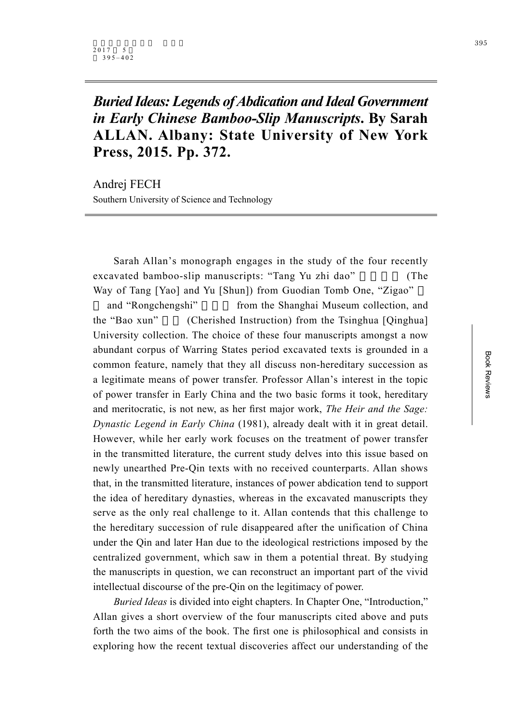## *Buried Ideas: Legends of Abdication and Ideal Government in Early Chinese Bamboo-Slip Manuscripts***. By Sarah ALLAN. Albany: State University of New York Press, 2015. Pp. 372.**

Andrej FECH Southern University of Science and Technology

Sarah Allan's monograph engages in the study of the four recently excavated bamboo-slip manuscripts: "Tang Yu zhi dao" (The Way of Tang [Yao] and Yu [Shun]) from Guodian Tomb One, "Zigao"

and "Rongchengshi" from the Shanghai Museum collection, and the "Bao xun" (Cherished Instruction) from the Tsinghua [Qinghua] University collection. The choice of these four manuscripts amongst a now abundant corpus of Warring States period excavated texts is grounded in a common feature, namely that they all discuss non-hereditary succession as a legitimate means of power transfer. Professor Allan's interest in the topic of power transfer in Early China and the two basic forms it took, hereditary and meritocratic, is not new, as her first major work, *The Heir and the Sage: Dynastic Legend in Early China* (1981), already dealt with it in great detail. However, while her early work focuses on the treatment of power transfer in the transmitted literature, the current study delves into this issue based on newly unearthed Pre-Qin texts with no received counterparts. Allan shows that, in the transmitted literature, instances of power abdication tend to support the idea of hereditary dynasties, whereas in the excavated manuscripts they serve as the only real challenge to it. Allan contends that this challenge to the hereditary succession of rule disappeared after the unification of China under the Qin and later Han due to the ideological restrictions imposed by the centralized government, which saw in them a potential threat. By studying the manuscripts in question, we can reconstruct an important part of the vivid intellectual discourse of the pre-Qin on the legitimacy of power.

*Buried Ideas* is divided into eight chapters. In Chapter One, "Introduction," Allan gives a short overview of the four manuscripts cited above and puts forth the two aims of the book. The first one is philosophical and consists in exploring how the recent textual discoveries affect our understanding of the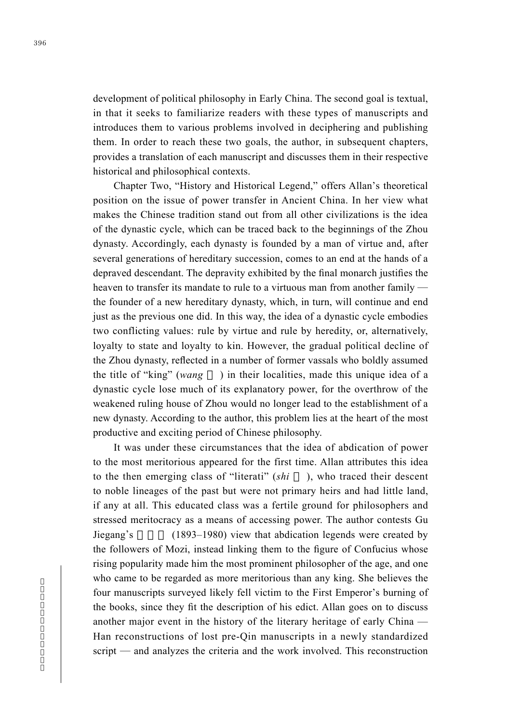development of political philosophy in Early China. The second goal is textual, in that it seeks to familiarize readers with these types of manuscripts and introduces them to various problems involved in deciphering and publishing them. In order to reach these two goals, the author, in subsequent chapters, provides a translation of each manuscript and discusses them in their respective historical and philosophical contexts.

Chapter Two, "History and Historical Legend," offers Allan's theoretical position on the issue of power transfer in Ancient China. In her view what makes the Chinese tradition stand out from all other civilizations is the idea of the dynastic cycle, which can be traced back to the beginnings of the Zhou dynasty. Accordingly, each dynasty is founded by a man of virtue and, after several generations of hereditary succession, comes to an end at the hands of a depraved descendant. The depravity exhibited by the final monarch justifies the heaven to transfer its mandate to rule to a virtuous man from another family the founder of a new hereditary dynasty, which, in turn, will continue and end just as the previous one did. In this way, the idea of a dynastic cycle embodies two conflicting values: rule by virtue and rule by heredity, or, alternatively, loyalty to state and loyalty to kin. However, the gradual political decline of the Zhou dynasty, reflected in a number of former vassals who boldly assumed the title of "king" (*wang* ) in their localities, made this unique idea of a dynastic cycle lose much of its explanatory power, for the overthrow of the weakened ruling house of Zhou would no longer lead to the establishment of a new dynasty. According to the author, this problem lies at the heart of the most productive and exciting period of Chinese philosophy.

It was under these circumstances that the idea of abdication of power to the most meritorious appeared for the first time. Allan attributes this idea to the then emerging class of "literati" (*shi* ), who traced their descent to noble lineages of the past but were not primary heirs and had little land, if any at all. This educated class was a fertile ground for philosophers and stressed meritocracy as a means of accessing power. The author contests Gu Jiegang's (1893–1980) view that abdication legends were created by the followers of Mozi, instead linking them to the figure of Confucius whose rising popularity made him the most prominent philosopher of the age, and one who came to be regarded as more meritorious than any king. She believes the four manuscripts surveyed likely fell victim to the First Emperor's burning of the books, since they fit the description of his edict. Allan goes on to discuss another major event in the history of the literary heritage of early China — Han reconstructions of lost pre-Qin manuscripts in a newly standardized script — and analyzes the criteria and the work involved. This reconstruction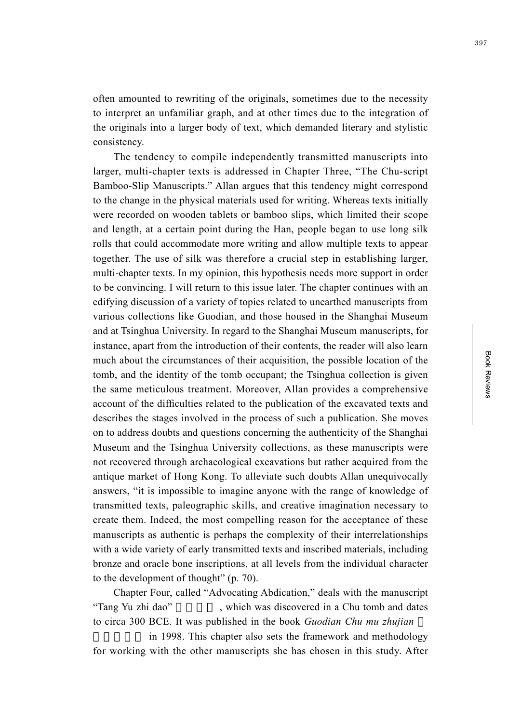397

often amounted to rewriting of the originals, sometimes due to the necessity to interpret an unfamiliar graph, and at other times due to the integration of the originals into a larger body of text, which demanded literary and stylistic consistency.

The tendency to compile independently transmitted manuscripts into larger, multi-chapter texts is addressed in Chapter Three, "The Chu-script Bamboo-Slip Manuscripts." Allan argues that this tendency might correspond to the change in the physical materials used for writing. Whereas texts initially were recorded on wooden tablets or bamboo slips, which limited their scope and length, at a certain point during the Han, people began to use long silk rolls that could accommodate more writing and allow multiple texts to appear together. The use of silk was therefore a crucial step in establishing larger, multi-chapter texts. In my opinion, this hypothesis needs more support in order to be convincing. I will return to this issue later. The chapter continues with an edifying discussion of a variety of topics related to unearthed manuscripts from various collections like Guodian, and those housed in the Shanghai Museum and at Tsinghua University. In regard to the Shanghai Museum manuscripts, for instance, apart from the introduction of their contents, the reader will also learn much about the circumstances of their acquisition, the possible location of the tomb, and the identity of the tomb occupant; the Tsinghua collection is given the same meticulous treatment. Moreover, Allan provides a comprehensive account of the difficulties related to the publication of the excavated texts and describes the stages involved in the process of such a publication. She moves on to address doubts and questions concerning the authenticity of the Shanghai Museum and the Tsinghua University collections, as these manuscripts were not recovered through archaeological excavations but rather acquired from the antique market of Hong Kong. To alleviate such doubts Allan unequivocally answers, "it is impossible to imagine anyone with the range of knowledge of transmitted texts, paleographic skills, and creative imagination necessary to create them. Indeed, the most compelling reason for the acceptance of these manuscripts as authentic is perhaps the complexity of their interrelationships with a wide variety of early transmitted texts and inscribed materials, including bronze and oracle bone inscriptions, at all levels from the individual character to the development of thought" (p. 70).

Chapter Four, called "Advocating Abdication," deals with the manuscript "Tang Yu zhi dao", which was discovered in a Chu tomb and dates to circa 300 BCE. It was published in the book *Guodian Chu mu zhujian*

in 1998. This chapter also sets the framework and methodology for working with the other manuscripts she has chosen in this study. After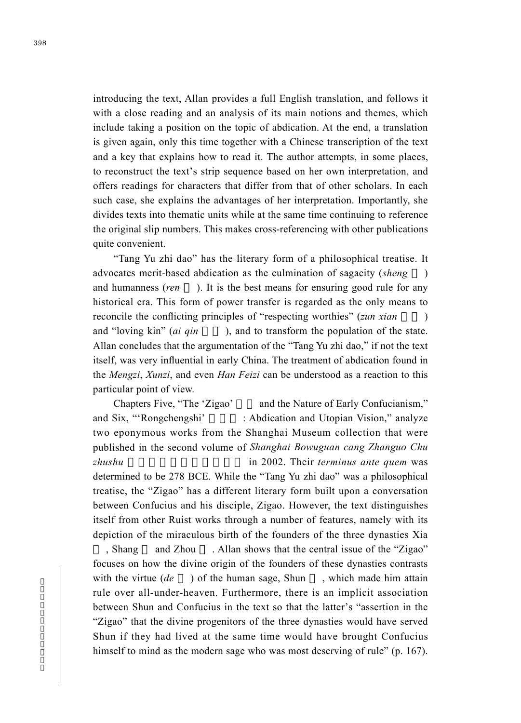introducing the text, Allan provides a full English translation, and follows it with a close reading and an analysis of its main notions and themes, which include taking a position on the topic of abdication. At the end, a translation is given again, only this time together with a Chinese transcription of the text and a key that explains how to read it. The author attempts, in some places, to reconstruct the text's strip sequence based on her own interpretation, and offers readings for characters that differ from that of other scholars. In each such case, she explains the advantages of her interpretation. Importantly, she divides texts into thematic units while at the same time continuing to reference the original slip numbers. This makes cross-referencing with other publications quite convenient.

"Tang Yu zhi dao" has the literary form of a philosophical treatise. It advocates merit-based abdication as the culmination of sagacity (*sheng* ) and humanness (*ren* ). It is the best means for ensuring good rule for any historical era. This form of power transfer is regarded as the only means to reconcile the conflicting principles of "respecting worthies" (*zun xian* ) and "loving kin" (*ai qin* ), and to transform the population of the state. Allan concludes that the argumentation of the "Tang Yu zhi dao," if not the text itself, was very influential in early China. The treatment of abdication found in the *Mengzi*, *Xunzi*, and even *Han Feizi* can be understood as a reaction to this particular point of view.

Chapters Five, "The 'Zigao' and the Nature of Early Confucianism," and Six, "'Rongchengshi' : Abdication and Utopian Vision," analyze two eponymous works from the Shanghai Museum collection that were published in the second volume of *Shanghai Bowuguan cang Zhanguo Chu zhushu* in 2002. Their *terminus ante quem* was determined to be 278 BCE. While the "Tang Yu zhi dao" was a philosophical treatise, the "Zigao" has a different literary form built upon a conversation between Confucius and his disciple, Zigao. However, the text distinguishes itself from other Ruist works through a number of features, namely with its depiction of the miraculous birth of the founders of the three dynasties Xia

, Shang and Zhou . Allan shows that the central issue of the "Zigao" focuses on how the divine origin of the founders of these dynasties contrasts with the virtue (*de* ) of the human sage, Shun, which made him attain rule over all-under-heaven. Furthermore, there is an implicit association between Shun and Confucius in the text so that the latter's "assertion in the "Zigao" that the divine progenitors of the three dynasties would have served Shun if they had lived at the same time would have brought Confucius himself to mind as the modern sage who was most deserving of rule" (p. 167).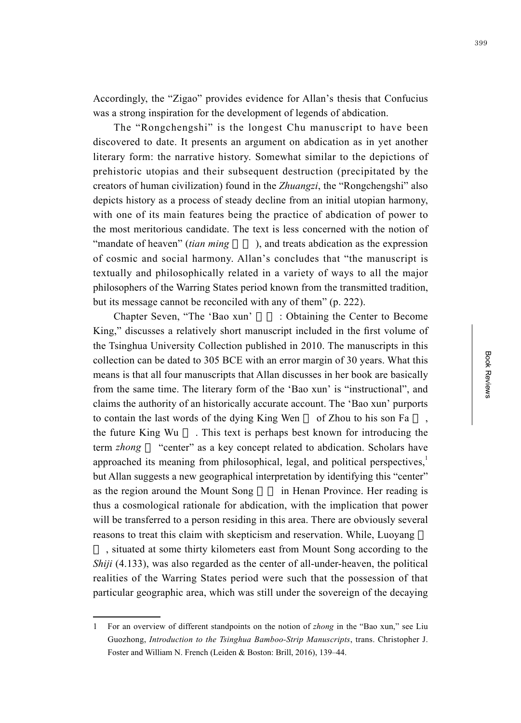Accordingly, the "Zigao" provides evidence for Allan's thesis that Confucius was a strong inspiration for the development of legends of abdication.

The "Rongchengshi" is the longest Chu manuscript to have been discovered to date. It presents an argument on abdication as in yet another literary form: the narrative history. Somewhat similar to the depictions of prehistoric utopias and their subsequent destruction (precipitated by the creators of human civilization) found in the *Zhuangzi*, the "Rongchengshi" also depicts history as a process of steady decline from an initial utopian harmony, with one of its main features being the practice of abdication of power to the most meritorious candidate. The text is less concerned with the notion of "mandate of heaven" *(tian ming*), and treats abdication as the expression of cosmic and social harmony. Allan's concludes that "the manuscript is textually and philosophically related in a variety of ways to all the major philosophers of the Warring States period known from the transmitted tradition, but its message cannot be reconciled with any of them" (p. 222).

Chapter Seven, "The 'Bao xun' : Obtaining the Center to Become King," discusses a relatively short manuscript included in the first volume of the Tsinghua University Collection published in 2010. The manuscripts in this collection can be dated to 305 BCE with an error margin of 30 years. What this means is that all four manuscripts that Allan discusses in her book are basically from the same time. The literary form of the 'Bao xun' is "instructional", and claims the authority of an historically accurate account. The 'Bao xun' purports to contain the last words of the dying King Wen of Zhou to his son Fa the future King Wu . This text is perhaps best known for introducing the term *zhong* "center" as a key concept related to abdication. Scholars have approached its meaning from philosophical, legal, and political perspectives, $\frac{1}{2}$ but Allan suggests a new geographical interpretation by identifying this "center" as the region around the Mount Song in Henan Province. Her reading is thus a cosmological rationale for abdication, with the implication that power will be transferred to a person residing in this area. There are obviously several reasons to treat this claim with skepticism and reservation. While, Luoyang

, situated at some thirty kilometers east from Mount Song according to the *Shiji* (4.133), was also regarded as the center of all-under-heaven, the political realities of the Warring States period were such that the possession of that particular geographic area, which was still under the sovereign of the decaying

<sup>1</sup> For an overview of different standpoints on the notion of *zhong* in the "Bao xun," see Liu Guozhong, *Introduction to the Tsinghua Bamboo-Strip Manuscripts*, trans. Christopher J. Foster and William N. French (Leiden & Boston: Brill, 2016), 139–44.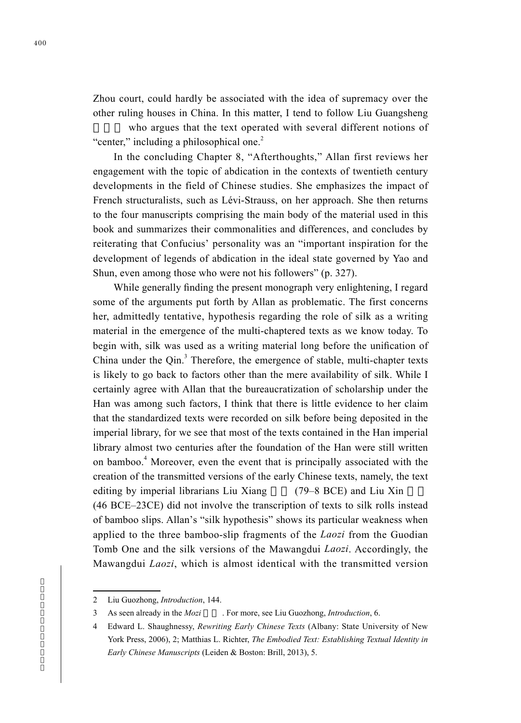Zhou court, could hardly be associated with the idea of supremacy over the other ruling houses in China. In this matter, I tend to follow Liu Guangsheng

who argues that the text operated with several different notions of "center," including a philosophical one.<sup>2</sup>

In the concluding Chapter 8, "Afterthoughts," Allan first reviews her engagement with the topic of abdication in the contexts of twentieth century developments in the field of Chinese studies. She emphasizes the impact of French structuralists, such as Lévi-Strauss, on her approach. She then returns to the four manuscripts comprising the main body of the material used in this book and summarizes their commonalities and differences, and concludes by reiterating that Confucius' personality was an "important inspiration for the development of legends of abdication in the ideal state governed by Yao and Shun, even among those who were not his followers" (p. 327).

While generally finding the present monograph very enlightening, I regard some of the arguments put forth by Allan as problematic. The first concerns her, admittedly tentative, hypothesis regarding the role of silk as a writing material in the emergence of the multi-chaptered texts as we know today. To begin with, silk was used as a writing material long before the unification of China under the  $Qin<sup>3</sup>$ . Therefore, the emergence of stable, multi-chapter texts is likely to go back to factors other than the mere availability of silk. While I certainly agree with Allan that the bureaucratization of scholarship under the Han was among such factors, I think that there is little evidence to her claim that the standardized texts were recorded on silk before being deposited in the imperial library, for we see that most of the texts contained in the Han imperial library almost two centuries after the foundation of the Han were still written on bamboo.<sup>4</sup> Moreover, even the event that is principally associated with the creation of the transmitted versions of the early Chinese texts, namely, the text editing by imperial librarians Liu Xiang (79–8 BCE) and Liu Xin (46 BCE–23CE) did not involve the transcription of texts to silk rolls instead of bamboo slips. Allan's "silk hypothesis" shows its particular weakness when applied to the three bamboo-slip fragments of the *Laozi* from the Guodian Tomb One and the silk versions of the Mawangdui *Laozi*. Accordingly, the Mawangdui *Laozi*, which is almost identical with the transmitted version

<sup>2</sup> Liu Guozhong, *Introduction*, 144.

<sup>3</sup> As seen already in the *Mozi* For more, see Liu Guozhong, *Introduction*, 6.

<sup>4</sup> Edward L. Shaughnessy, *Rewriting Early Chinese Texts* (Albany: State University of New York Press, 2006), 2; Matthias L. Richter, *The Embodied Text: Establishing Textual Identity in Early Chinese Manuscripts* (Leiden & Boston: Brill, 2013), 5.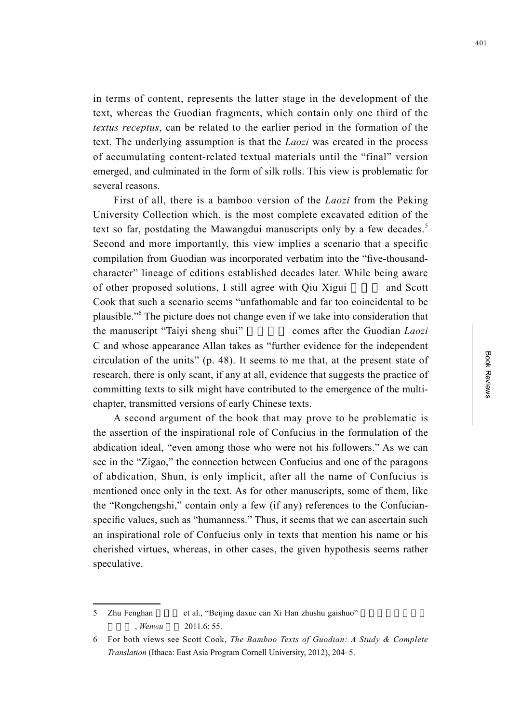in terms of content, represents the latter stage in the development of the text, whereas the Guodian fragments, which contain only one third of the *textus receptus*, can be related to the earlier period in the formation of the text. The underlying assumption is that the *Laozi* was created in the process of accumulating content-related textual materials until the "final" version emerged, and culminated in the form of silk rolls. This view is problematic for several reasons.

First of all, there is a bamboo version of the *Laozi* from the Peking University Collection which, is the most complete excavated edition of the text so far, postdating the Mawangdui manuscripts only by a few decades.<sup>5</sup> Second and more importantly, this view implies a scenario that a specific compilation from Guodian was incorporated verbatim into the "five-thousandcharacter" lineage of editions established decades later. While being aware of other proposed solutions, I still agree with Qiu Xigui and Scott Cook that such a scenario seems "unfathomable and far too coincidental to be plausible." 6 The picture does not change even if we take into consideration that the manuscript "Taiyi sheng shui" comes after the Guodian *Laozi* C and whose appearance Allan takes as "further evidence for the independent circulation of the units" (p. 48). It seems to me that, at the present state of research, there is only scant, if any at all, evidence that suggests the practice of committing texts to silk might have contributed to the emergence of the multichapter, transmitted versions of early Chinese texts.

A second argument of the book that may prove to be problematic is the assertion of the inspirational role of Confucius in the formulation of the abdication ideal, "even among those who were not his followers." As we can see in the "Zigao," the connection between Confucius and one of the paragons of abdication, Shun, is only implicit, after all the name of Confucius is mentioned once only in the text. As for other manuscripts, some of them, like the "Rongchengshi," contain only a few (if any) references to the Confucianspecific values, such as "humanness." Thus, it seems that we can ascertain such an inspirational role of Confucius only in texts that mention his name or his cherished virtues, whereas, in other cases, the given hypothesis seems rather speculative.

5 Zhu Fenghan et al., "Beijing daxue can Xi Han zhushu gaishuo" *Wenwu* 2011.6: 55.

<sup>6</sup> For both views see Scott Cook, *The Bamboo Texts of Guodian: A Study & Complete Translation* (Ithaca: East Asia Program Cornell University, 2012), 204–5.